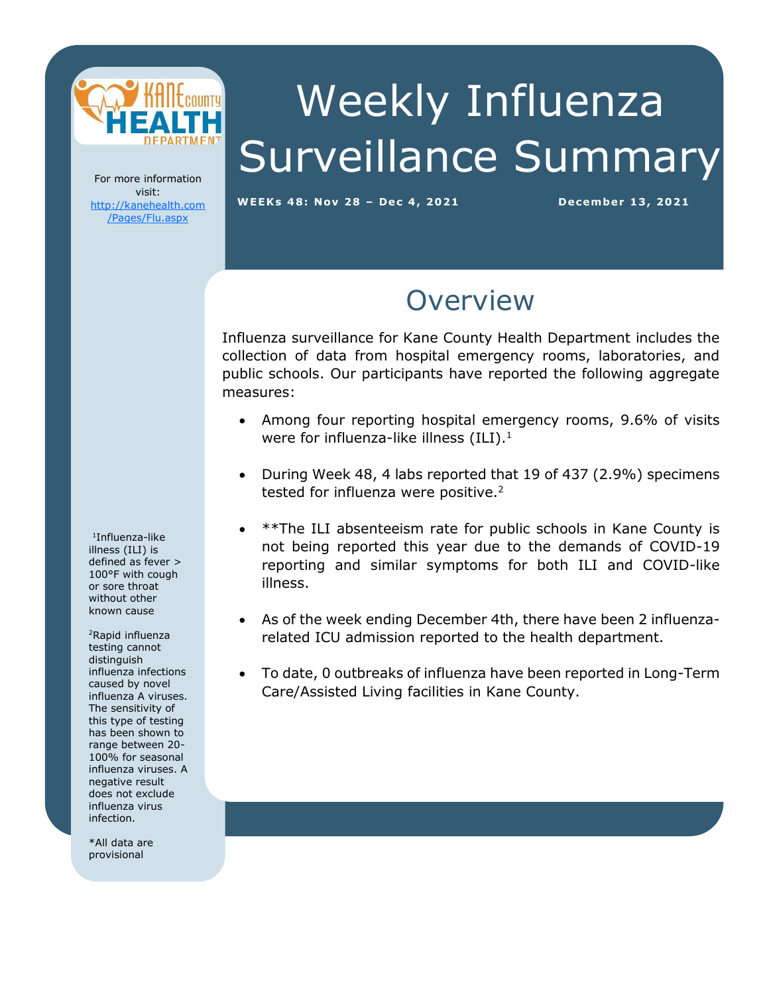

# Weekly Influenza Surveillance Summary

For more information visit: [http://kanehealth.com](http://kanehealth.com/Pages/Flu.aspx) [/Pages/Flu.aspx](http://kanehealth.com/Pages/Flu.aspx)

**WEEKs 48: Nov 28 – De c 4, 2 0 2 1 De cembe r 1 3, 2 0 2 1**

data that make this monitoring possible.

### **Overview**

Influenza surveillance for Kane County Health Department includes the collection of data from hospital emergency rooms, laboratories, and public schools. Our participants have reported the following aggregate measures:

- Among four reporting hospital emergency rooms, 9.6% of visits were for influenza-like illness  $(ILI).<sup>1</sup>$
- During Week 48, 4 labs reported that 19 of 437 (2.9%) specimens tested for influenza were positive.<sup>2</sup>
- \*\*The ILI absenteeism rate for public schools in Kane County is not being reported this year due to the demands of COVID-19 reporting and similar symptoms for both ILI and COVID-like illness.
- As of the week ending December 4th, there have been 2 influenzarelated ICU admission reported to the health department.
- To date, 0 outbreaks of influenza have been reported in Long-Term Care/Assisted Living facilities in Kane County.

1 Influenza-like illness (ILI) is defined as fever > 100°F with cough or sore throat without other known cause

<sup>2</sup>Rapid influenza testing cannot distinguish influenza infections caused by novel influenza A viruses. The sensitivity of this type of testing has been shown to range between 20- 100% for seasonal influenza viruses. A negative result does not exclude influenza virus infection.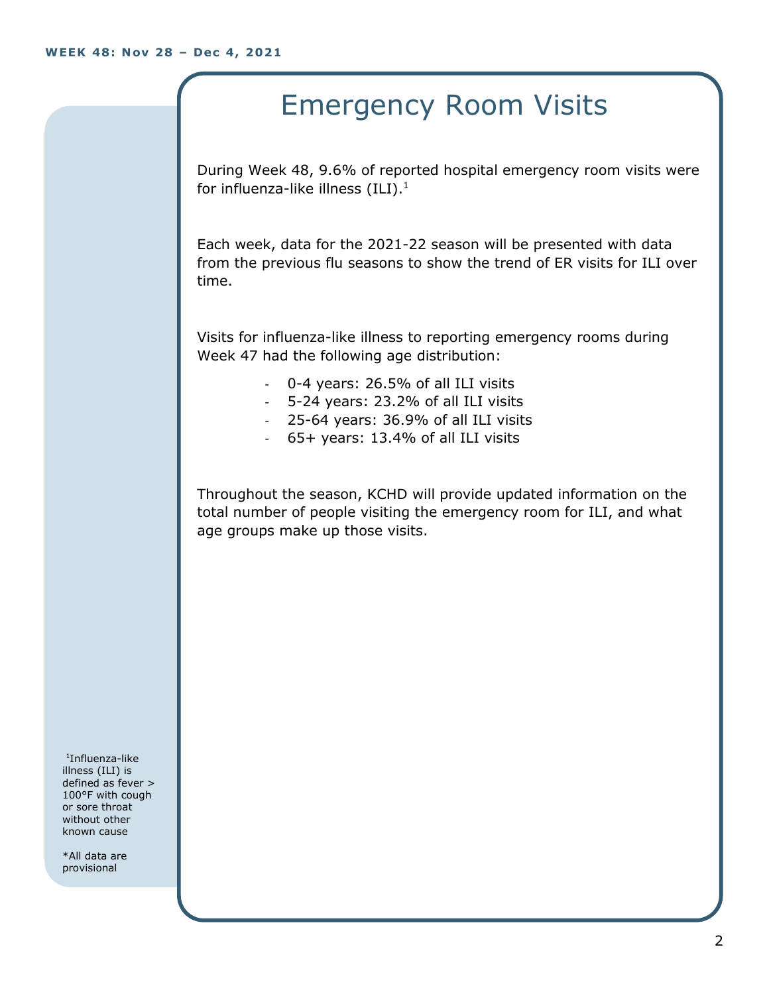## Emergency Room Visits

During Week 48, 9.6% of reported hospital emergency room visits were for influenza-like illness  $(III).<sup>1</sup>$ 

Each week, data for the 2021-22 season will be presented with data from the previous flu seasons to show the trend of ER visits for ILI over time.

Visits for influenza-like illness to reporting emergency rooms during Week 47 had the following age distribution:

- 0-4 years: 26.5% of all ILI visits
- 5-24 years: 23.2% of all ILI visits
- 25-64 years: 36.9% of all ILI visits
- 65+ years: 13.4% of all ILI visits

Throughout the season, KCHD will provide updated information on the total number of people visiting the emergency room for ILI, and what age groups make up those visits.

1 Influenza-like illness (ILI) is defined as fever > 100°F with cough or sore throat without other known cause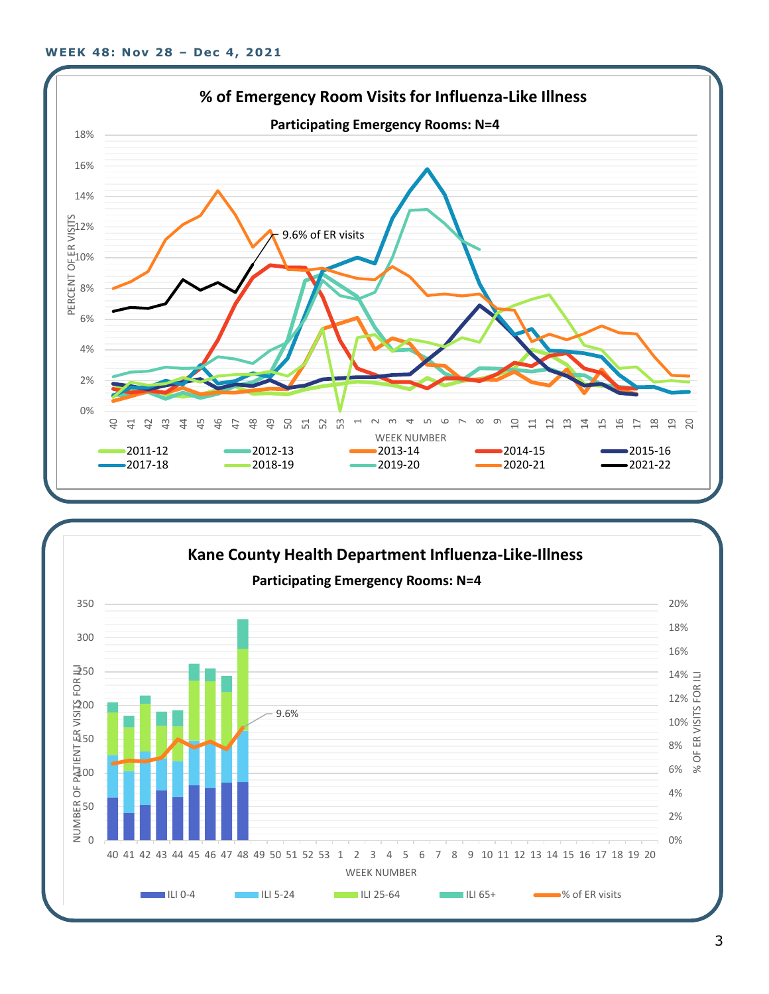

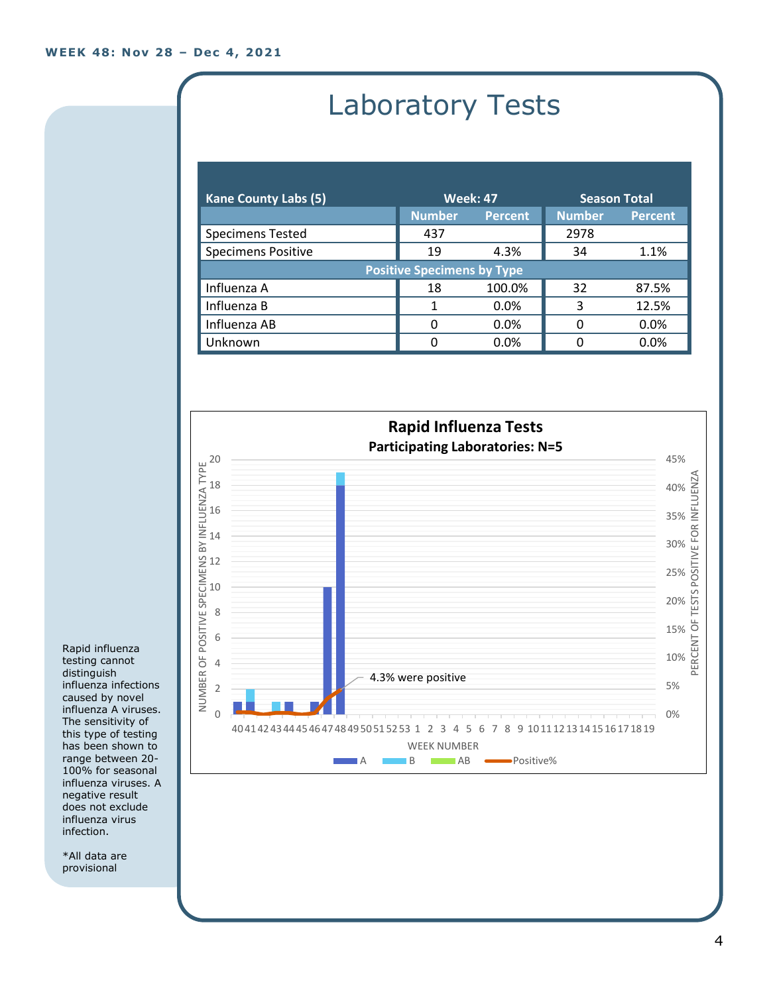# Laboratory Tests

| <b>Kane County Labs (5)</b>       | <b>Week: 47</b> |                | <b>Season Total</b> |                |
|-----------------------------------|-----------------|----------------|---------------------|----------------|
|                                   | <b>Number</b>   | <b>Percent</b> | <b>Number</b>       | <b>Percent</b> |
| <b>Specimens Tested</b>           | 437             |                | 2978                |                |
| <b>Specimens Positive</b>         | 19              | 4.3%           | 34                  | 1.1%           |
| <b>Positive Specimens by Type</b> |                 |                |                     |                |
| Influenza A                       | 18              | 100.0%         | 32                  | 87.5%          |
| Influenza B                       |                 | $0.0\%$        | 3                   | 12.5%          |
| Influenza AB                      | 0               | $0.0\%$        | 0                   | 0.0%           |
| Unknown                           | O               | 0.0%           |                     | 0.0%           |



Rapid influenza testing cannot distinguish influenza infections caused by novel influenza A viruses. The sensitivity of this type of testing has been shown to range between 20- 100% for seasonal influenza viruses. A negative result does not exclude influenza virus infection.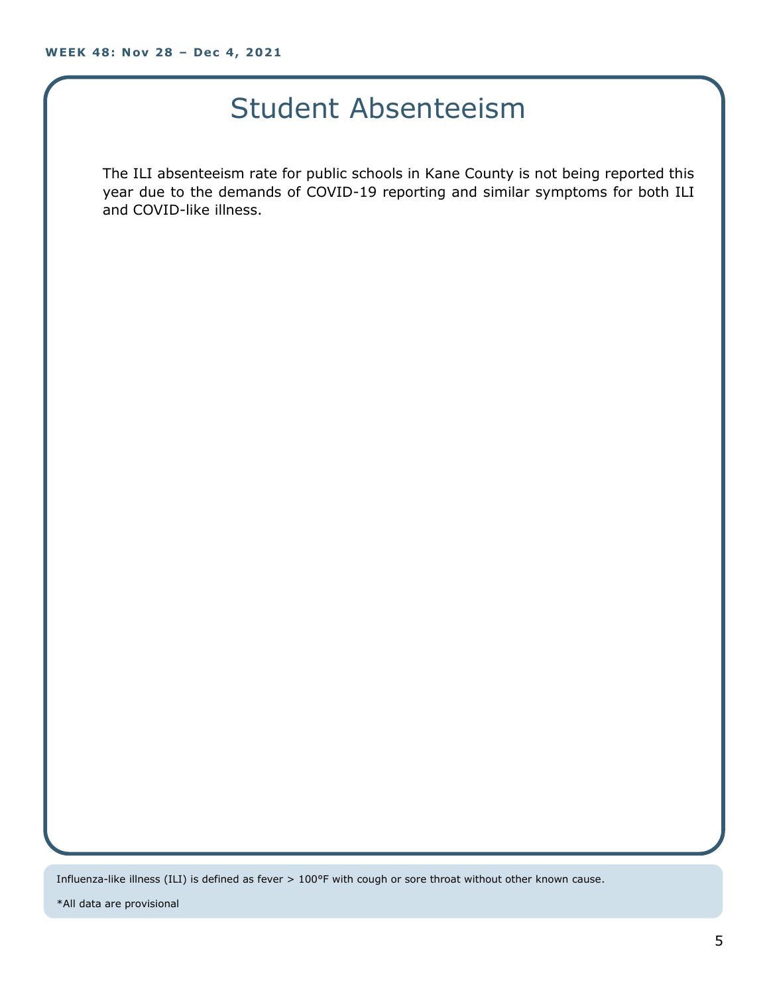### Student Absenteeism

The ILI absenteeism rate for public schools in Kane County is not being reported this year due to the demands of COVID-19 reporting and similar symptoms for both ILI and COVID-like illness.

Influenza-like illness (ILI) is defined as fever > 100°F with cough or sore throat without other known cause.